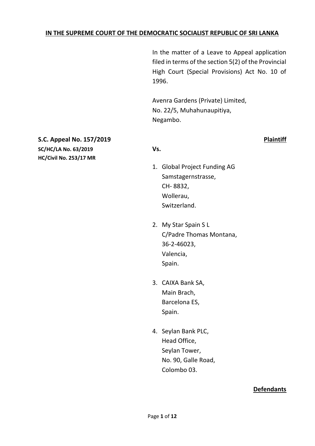### **IN THE SUPREME COURT OF THE DEMOCRATIC SOCIALIST REPUBLIC OF SRI LANKA**

In the matter of a Leave to Appeal application filed in terms of the section 5(2) of the Provincial High Court (Special Provisions) Act No. 10 of 1996.

Avenra Gardens (Private) Limited, No. 22/5, Muhahunaupitiya, Negambo.

#### **S.C. Appeal No. 157/2019 Plaintiff**

**SC/HC/LA No. 63/2019 Vs. HC/Civil No. 253/17 MR**

- 1. Global Project Funding AG Samstagernstrasse, CH- 8832, Wollerau, Switzerland.
- 2. My Star Spain S L C/Padre Thomas Montana, 36-2-46023, Valencia, Spain.
- 3. CAIXA Bank SA, Main Brach, Barcelona ES, Spain.
- 4. Seylan Bank PLC, Head Office, Seylan Tower, No. 90, Galle Road, Colombo 03.

#### **Defendants**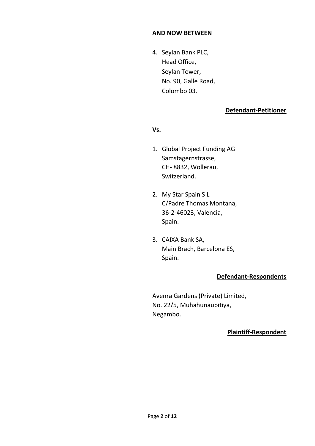#### **AND NOW BETWEEN**

4. Seylan Bank PLC, Head Office, Seylan Tower, No. 90, Galle Road, Colombo 03.

## **Defendant-Petitioner**

#### **Vs.**

- 1. Global Project Funding AG Samstagernstrasse, CH- 8832, Wollerau, Switzerland.
- 2. My Star Spain S L C/Padre Thomas Montana, 36-2-46023, Valencia, Spain.
- 3. CAIXA Bank SA, Main Brach, Barcelona ES, Spain.

### **Defendant-Respondents**

Avenra Gardens (Private) Limited, No. 22/5, Muhahunaupitiya, Negambo.

### **Plaintiff-Respondent**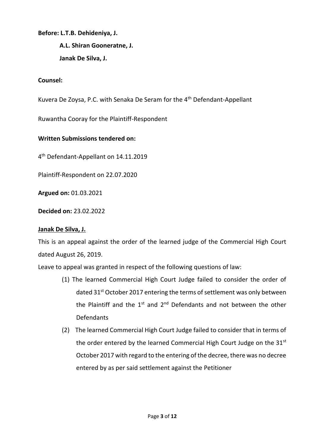#### **Before: L.T.B. Dehideniya, J.**

**A.L. Shiran Gooneratne, J. Janak De Silva, J.**

#### **Counsel:**

Kuvera De Zoysa, P.C. with Senaka De Seram for the 4<sup>th</sup> Defendant-Appellant

Ruwantha Cooray for the Plaintiff-Respondent

#### **Written Submissions tendered on:**

4 th Defendant-Appellant on 14.11.2019

Plaintiff-Respondent on 22.07.2020

**Argued on:** 01.03.2021

**Decided on:** 23.02.2022

### **Janak De Silva, J.**

This is an appeal against the order of the learned judge of the Commercial High Court dated August 26, 2019.

Leave to appeal was granted in respect of the following questions of law:

- (1) The learned Commercial High Court Judge failed to consider the order of dated 31<sup>st</sup> October 2017 entering the terms of settlement was only between the Plaintiff and the  $1<sup>st</sup>$  and  $2<sup>nd</sup>$  Defendants and not between the other Defendants
- (2) The learned Commercial High Court Judge failed to consider that in terms of the order entered by the learned Commercial High Court Judge on the 31<sup>st</sup> October 2017 with regard to the entering of the decree, there was no decree entered by as per said settlement against the Petitioner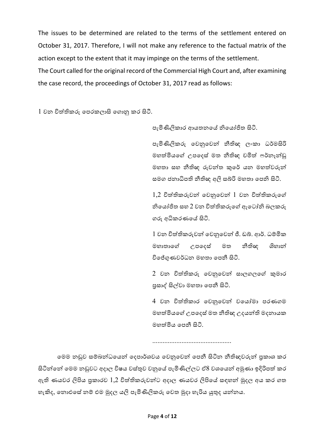The issues to be determined are related to the terms of the settlement entered on October 31, 2017. Therefore, I will not make any reference to the factual matrix of the action except to the extent that it may impinge on the terms of the settlement.

The Court called for the original record of the Commercial High Court and, after examining the case record, the proceedings of October 31, 2017 read as follows:

 $1$  වන විත්තිකරු පෙරකලාසි ගොනු කර සිටී.

ෙැමිණිලිකාර ආයතනපේ නිපයෝජිත සිටි.

ෙැමිණිලිකරු පවනුපවන් නීිඥ ලංකා ධර්මසිරි මහත්මියගේ උපදෙස් මත නීතිඥ චමිත් ෆර්නෑන්ඩු මහතා සහ නීිඥ රුවන්ත කුපර් යන මහත්තවරුන් සමග ජනාධිපති නීතිඥ අලි සබ්රි මහතා පෙනි සිටි.

1,2 විත්තිකරුවන් පවනුපවන් 1 වන විත්තිකරුපේ නිපයෝජිත සහ 2 වන විත්තිකරුපේ ඇප ෝනි බලකරු රු අධිකරණපේ සිටි.

1 වන විත්තිකරුවන් පවනුපවන් ජී. ඩබ්ර. ආර්. ධම්මමික මහාතාපේ උෙපෙස් මත නීිඥ ශිහාන් විපේගුණවර්ධන මහතා පෙනී සිටි.

2 වන විත්තිකරු පවනුපවන් සාල ලපේ කුමාර ප්රසාද් සිල්වා මහතා පෙනී සිටි.

4 වන විත්තිකාර පවනුපවන් වපයෝමා ෙරණ ම මහත්මියගේ උපදෙස් මත නීතිඥ උදයන්ති මදනායක මහත්තමිය පෙනී සිටි.

..............................................

මෙම නඩුව සම්බන්ධයෙන් දෙපාර්ශවය වෙනුවෙන් පෙනී සිටින නීතිඥවරුන් පුකාශ කර සිටින්නේ මෙම නඩුවට අදාල විෂය වස්තුව වනුයේ පැමිණිල්ලට ඒ8 වශයෙන් අමුණා ඉදිරිපත් කර ඇති ණයවර ලිපිය පුකාරව 1,2 විත්තිකරුවන්ට අදාල ණයවර ලිපියේ සඳහන් මුදල අය කර ගත හැකිද, තොඑසේ නම් එම මුදල යලි පැමිණිලිකරු වෙත මුදා හැරිය යුතුද යන්නය.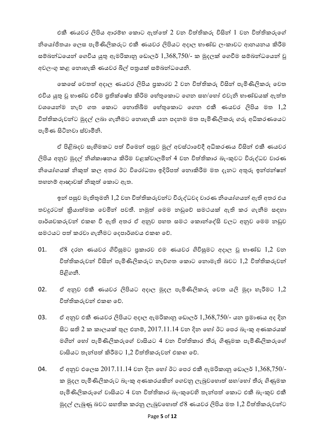එකී ණයවර ලිපිය ආරම්භ කොට ඇත්තේ 2 වන විත්තිකරු විසින්  $1$  වන විත්තිකරුගේ නියෝජිතයා ලෙස පැමිණිලිකරුට එකී ණයවර ලිපියට අදාල භාණ්ඩ ලංකාවට ආනයනය කිරීම සම්බන්ධයෙන් ගෙවිය යුතු ඇමරිකානු ඩොලර්  $1,\!368,\!750$ /- ක මුදලක් ගෙවීම සම්බන්ධයෙන් වු අවලංගු කළ පනාහැකි ණයවර බිල් ෙත්රයක් සම්මබන්ධපයනි.

පකපස් පවතත්ත අොල ණයවර ලිපිය ප්රකාරව 2 වන විත්තිකරු විසින් ෙැමිණිලිකරු පවත එවිය යුතු වූ භාණ්ඩ එවීම පුතික්ෂේප කිරිම හේතුකොට ගෙන සහ/හෝ එවැනි භාණ්ඩයක් ඇත්ත වශයෙන්ම නැව් ගත කොට නොතිබීම හේතුකොට ගෙන එකී ණයවර ලිපිය මත  $1.2\,$ විත්තිකරුවන්ට මුදල් ලබා ගැනීමට නොහැකි යන පදනම මත පැමිණිලිකරු ගරු අධිකරණයෙට ෙැමිණ සිටිනවා ස්වාමීනි.

ඒ පිළිබදව සෑහිමකට පත් වීමෙන් පසුව මුල් අවස්ථාවේදී අධිකරණය විසින් එකී ණයවර ලිපිය අනුව මුදල් නිශ්කාෂනය කිරිම වළක්වාලමින් 4 වන විත්තිකාර බැංකුවට විරුද්ධව වාරණ නියෝගයක් නිකුත් කල අතර ඊට විරෝධතා ඉදිරිපත් නොකිරීම මත දැනට අතුරු ඉන්ජන්ෂන් තහනම් ආඥාවක් නිකුත් කොට ඇත.

ඉන් පසුව මැතිතුමනි 1,2 වන විත්තිකරුවන්ට විරුද්ධවද වාරණ නියෝගයන් ඇති අතර එය තවදුරටත් කියාත්මක වෙමින් පවතී. නමුත් මෙම නඩුවේ සමථයක් ඇති කර ගැනීම සඳහා පාර්ශවකරුවන් එකහ වී ඇති අතර ඒ අනුව පහත සමථ කොන්දේසි වලට අනුව මෙම නඩුව සමථයට පත් කරවා ගැනීමට දෙපාර්ශවය එකහ වේ.

- 01. ඒ $8$  දරන ණයවර ගිවිසුමට පුකාරව එම ණයවර ගිවිසුමට අදාල වූ භාණ්ඩ  $1,2$  වන විත්තිකරුවන් විසින් පැමිණිලිකරුට නැව්ගත කොට නොමැති බවට  $1,\!2$  විත්තිකරුවන් පිළි නී.
- 02. ඒ අනුව එකී ණයවර ලිපියට අදාල මුදල පැමිණිලිකරු වෙත යලි මුදා හැරීමට  $1,2$ විත්තිකරුවන් එකඟ පව්.
- 03. ඒ අනුව එකී ණයවර ලිපියට අදාල ඇමරිකානු ඩොලර්  $1,368,750$ /- යන පුමාණය අද දින සිට සති 2 ක කාලයක් තුල එනම්, 2017.11.14 වන දින හෝ ඊට පෙර බැංකු අණකරයක් මගින් පහෝ ෙැමිණිලිකරුපේ වාසිය 4 වන විත්තිකාර තීරු ගිණුමක ෙැමිණිලිකරුපේ වාසියට තැන්පත් කිරීමට  $1,2$  විත්තිකරුවන් එකඟ වේ.
- 04. ඒ අනුව එලෙස  $2017.11.14$  වන දින හෝ ඊට පෙර එකී ඇමරිකානු ඩොලර්  $1,368,750/$ -ක මුදල පැමිණිලිකරුට බැංකු අණකරයකින් ගෙවනු ලැබුවහොත් සහ/හෝ තීරු ගිණුමක පැමිණිලිකරුගේ වාසියට 4 වන විත්තිකාර බැංකුවෙහි තැන්පත් කොට එකී බැංකුව එකී මුදල් ලැබුණු බවට සහතික කරනු ලැබුවහොත් ඒ $8$  ණයවර ලිපිය මත  $1,\!2$  විත්තිකරුවන්ට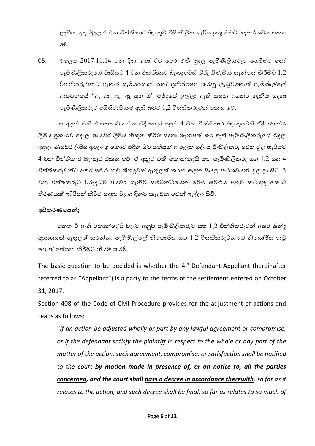ලැබිය යුතු මුදල 4 වන විත්තිකාර බැංකුව විසින් මුදා හැරිය යුතු බවට දෙපාර්ශවය එකඟ පව්.

05. එලෙස  $2017.11.14$  වන දින හෝ ඊට පෙර එකී මුදල පැමිණිලිකරුට ගෙවීමට හෝ පැමිණිලිකරුගේ වාසියට 4 වන විත්තිකාර බැංකුවෙහි තීරු ගිණුමක තැන්පත් කිරීමට  $1.2\,$ විත්තිකරුවන්ට පැහැර හැරියහොත් හෝ පුතික්ෂේප කරනු ලැබුවහොත් පැමිණිල්ලේ ආයචනයේ ''අ, ආ, ඇ, ඇ සහ ඔ'' ජේදයේ ඉල්ලා ඇති සහන අයකර ගැනීම සදහා පැමිණිලිකරුට අයිතිවාසිකම් ඇති බවට 1,2 විත්තිකරුවන් එකග වේ.

ඒ අනුව එකී එකඟතාවය මත එදිපනන් ෙසුව 4 වන විත්තිකාර බැංකුපවහි ඒ8 ණයවර ලිපිය පුකාරව අදාල ණයවර ලිපිය නිකුත් කිරීම සදහා තැන්පත් කර ඇති පැමිණිලිකරුගේ මුදල් අදාල ණයවර ලිපිය අවලංගු කොට එදින සිට සතියක් ඇතුලත යලි පැමිණිලිකරු වෙත මුදා හැරීමට  $4$  වන විත්තිකාර බැංකුව එකහ වේ. ඒ අනුව එකී කොන්දේසි මත පැමිණිලිකරු සහ  $1,2$  සහ  $4$ විත්තිකරුවන්ට අතර සමථ නඩු තීන්දුවක් ඇතුලත් කරන ලෙන සියලු පාර්ශවයන් ඉල්ලා සිටි.  $\bar{3}$ වන විත්තිකරුට විරුද්ධව පියවර ගැනීම සම්බන්ධයෙන් මෙම සමථය අනුව කටයුතු කොට තීරණයක් ඉදිරිපත් කිරීම සදහා ඊළග දිනට කැදවන මෙන් ඉල්ලා සිටි.

#### **අධිකරණයෙන්;**

එකග වී ඇති කොන්දේසි වලට අනුව පැමිණිලිකරුට සහ  $1,2$  විත්තිකරුවන් අතර තීන්දු පුකාශයක් ඇතුලත් කරන්න. පැමිණිල්ලේ නියෝජිත සහ  $1,\!2$  විත්තිකරුවන්ගේ නියෝජිත නඩු පොත් අත්සන් කිරීමට නියම කරමි.

The basic question to be decided is whether the  $4<sup>th</sup>$  Defendant-Appellant (hereinafter referred to as "Appellant") is a party to the terms of the settlement entered on October 31, 2017.

Section 408 of the Code of Civil Procedure provides for the adjustment of actions and reads as follows:

"*If an action be adjusted wholly or part by any lawful agreement or compromise, or if the defendant satisfy the plaintiff in respect to the whole or any part of the matter of the action, such agreement, compromise, or satisfaction shall be notified to the court by motion made in presence of, or on notice to, all the parties concerned, and the court shall pass a decree in accordance therewith, so far as it relates to the action, and such decree shall be final, so far as relates to so much of*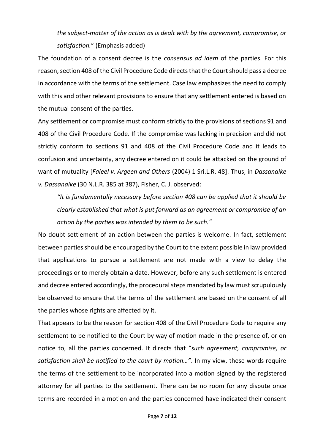# *the subject-matter of the action as is dealt with by the agreement, compromise, or satisfaction.*" (Emphasis added)

The foundation of a consent decree is the *consensus ad idem* of the parties. For this reason, section 408 of the Civil Procedure Code directs that the Court should pass a decree in accordance with the terms of the settlement. Case law emphasizes the need to comply with this and other relevant provisions to ensure that any settlement entered is based on the mutual consent of the parties.

Any settlement or compromise must conform strictly to the provisions of sections 91 and 408 of the Civil Procedure Code. If the compromise was lacking in precision and did not strictly conform to sections 91 and 408 of the Civil Procedure Code and it leads to confusion and uncertainty, any decree entered on it could be attacked on the ground of want of mutuality [*Faleel v. Argeen and Others* (2004) 1 Sri.L.R. 48]. Thus, in *Dassanaike v. Dassanaike* (30 N.L.R. 385 at 387), Fisher, C. J. observed:

*"It is fundamentally necessary before section 408 can be applied that it should be clearly established that what is put forward as an agreement or compromise of an action by the parties was intended by them to be such."*

No doubt settlement of an action between the parties is welcome. In fact, settlement between parties should be encouraged by the Court to the extent possible in law provided that applications to pursue a settlement are not made with a view to delay the proceedings or to merely obtain a date. However, before any such settlement is entered and decree entered accordingly, the procedural steps mandated by law must scrupulously be observed to ensure that the terms of the settlement are based on the consent of all the parties whose rights are affected by it.

That appears to be the reason for section 408 of the Civil Procedure Code to require any settlement to be notified to the Court by way of motion made in the presence of, or on notice to, all the parties concerned. It directs that "*such agreement, compromise, or satisfaction shall be notified to the court by motion…"*. In my view, these words require the terms of the settlement to be incorporated into a motion signed by the registered attorney for all parties to the settlement. There can be no room for any dispute once terms are recorded in a motion and the parties concerned have indicated their consent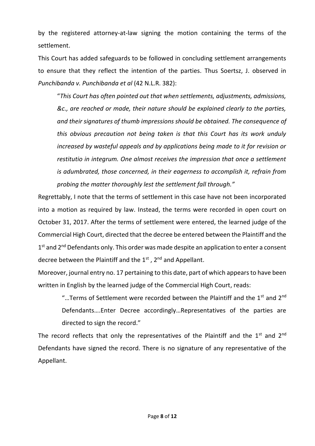by the registered attorney-at-law signing the motion containing the terms of the settlement.

This Court has added safeguards to be followed in concluding settlement arrangements to ensure that they reflect the intention of the parties. Thus Soertsz, J. observed in *Punchibanda v. Punchibanda et al* (42 N.L.R. 382):

"*This Court has often pointed out that when settlements, adjustments, admissions, &c., are reached or made, their nature should be explained clearly to the parties, and their signatures of thumb impressions should be obtained. The consequence of this obvious precaution not being taken is that this Court has its work unduly increased by wasteful appeals and by applications being made to it for revision or restitutio in integrum. One almost receives the impression that once a settlement is adumbrated, those concerned, in their eagerness to accomplish it, refrain from probing the matter thoroughly lest the settlement fall through."*

Regrettably, I note that the terms of settlement in this case have not been incorporated into a motion as required by law. Instead, the terms were recorded in open court on October 31, 2017. After the terms of settlement were entered, the learned judge of the Commercial High Court, directed that the decree be entered between the Plaintiff and the 1<sup>st</sup> and 2<sup>nd</sup> Defendants only. This order was made despite an application to enter a consent decree between the Plaintiff and the  $1<sup>st</sup>$ ,  $2<sup>nd</sup>$  and Appellant.

Moreover, journal entry no. 17 pertaining to this date, part of which appears to have been written in English by the learned judge of the Commercial High Court, reads:

"...Terms of Settlement were recorded between the Plaintiff and the 1<sup>st</sup> and 2<sup>nd</sup> Defendants….Enter Decree accordingly…Representatives of the parties are directed to sign the record."

The record reflects that only the representatives of the Plaintiff and the  $1^{st}$  and  $2^{nd}$ Defendants have signed the record. There is no signature of any representative of the Appellant.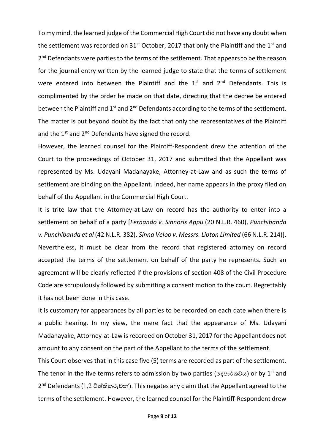To my mind, the learned judge of the Commercial High Court did not have any doubt when the settlement was recorded on  $31<sup>st</sup>$  October, 2017 that only the Plaintiff and the  $1<sup>st</sup>$  and 2<sup>nd</sup> Defendants were parties to the terms of the settlement. That appears to be the reason for the journal entry written by the learned judge to state that the terms of settlement were entered into between the Plaintiff and the  $1<sup>st</sup>$  and  $2<sup>nd</sup>$  Defendants. This is complimented by the order he made on that date, directing that the decree be entered between the Plaintiff and  $1^{st}$  and  $2^{nd}$  Defendants according to the terms of the settlement. The matter is put beyond doubt by the fact that only the representatives of the Plaintiff and the 1<sup>st</sup> and 2<sup>nd</sup> Defendants have signed the record.

However, the learned counsel for the Plaintiff-Respondent drew the attention of the Court to the proceedings of October 31, 2017 and submitted that the Appellant was represented by Ms. Udayani Madanayake, Attorney-at-Law and as such the terms of settlement are binding on the Appellant. Indeed, her name appears in the proxy filed on behalf of the Appellant in the Commercial High Court.

It is trite law that the Attorney-at-Law on record has the authority to enter into a settlement on behalf of a party [*Fernando v. Sinnoris Appu* (20 N.L.R. 460), *Punchibanda v. Punchibanda et al* (42 N.L.R. 382), *Sinna Veloo v. Messrs. Lipton Limited* (66 N.L.R. 214)]. Nevertheless, it must be clear from the record that registered attorney on record accepted the terms of the settlement on behalf of the party he represents. Such an agreement will be clearly reflected if the provisions of section 408 of the Civil Procedure Code are scrupulously followed by submitting a consent motion to the court. Regrettably it has not been done in this case.

It is customary for appearances by all parties to be recorded on each date when there is a public hearing. In my view, the mere fact that the appearance of Ms. Udayani Madanayake, Attorney-at-Law is recorded on October 31, 2017 for the Appellant does not amount to any consent on the part of the Appellant to the terms of the settlement.

This Court observes that in this case five (5) terms are recorded as part of the settlement. The tenor in the five terms refers to admission by two parties (දෙපාර්ශවය) or by 1<sup>st</sup> and 2 nd Defendants(1,2 විත්තිකරුවන්). This negates any claim that the Appellant agreed to the terms of the settlement. However, the learned counsel for the Plaintiff-Respondent drew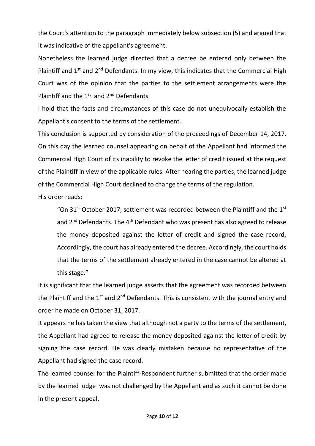the Court's attention to the paragraph immediately below subsection (5) and argued that it was indicative of the appellant's agreement.

Nonetheless the learned judge directed that a decree be entered only between the Plaintiff and  $1^{st}$  and  $2^{nd}$  Defendants. In my view, this indicates that the Commercial High Court was of the opinion that the parties to the settlement arrangements were the Plaintiff and the  $1^{st}$  and  $2^{nd}$  Defendants.

I hold that the facts and circumstances of this case do not unequivocally establish the Appellant's consent to the terms of the settlement.

This conclusion is supported by consideration of the proceedings of December 14, 2017. On this day the learned counsel appearing on behalf of the Appellant had informed the Commercial High Court of its inability to revoke the letter of credit issued at the request of the Plaintiff in view of the applicable rules. After hearing the parties, the learned judge of the Commercial High Court declined to change the terms of the regulation. His order reads:

"On 31<sup>st</sup> October 2017, settlement was recorded between the Plaintiff and the 1<sup>st</sup> and  $2^{nd}$  Defendants. The 4<sup>th</sup> Defendant who was present has also agreed to release the money deposited against the letter of credit and signed the case record. Accordingly, the court has already entered the decree. Accordingly, the court holds that the terms of the settlement already entered in the case cannot be altered at this stage."

It is significant that the learned judge asserts that the agreement was recorded between the Plaintiff and the  $1^{st}$  and  $2^{nd}$  Defendants. This is consistent with the journal entry and order he made on October 31, 2017.

It appears he has taken the view that although not a party to the terms of the settlement, the Appellant had agreed to release the money deposited against the letter of credit by signing the case record. He was clearly mistaken because no representative of the Appellant had signed the case record.

The learned counsel for the Plaintiff-Respondent further submitted that the order made by the learned judge was not challenged by the Appellant and as such it cannot be done in the present appeal.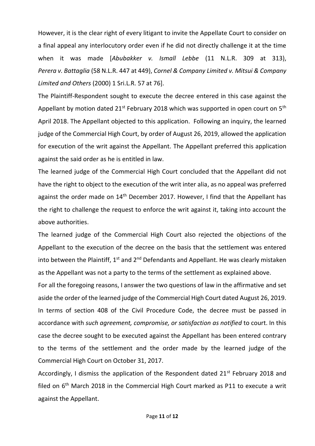However, it is the clear right of every litigant to invite the Appellate Court to consider on a final appeal any interlocutory order even if he did not directly challenge it at the time when it was made [*Abubakker v. Ismall Lebbe* (11 N.L.R. 309 at 313), *Perera v. Battaglia* (58 N.L.R. 447 at 449), *Cornel & Company Limited v. Mitsui & Company Limited and Others* (2000) 1 Sri.L.R. 57 at 76].

The Plaintiff-Respondent sought to execute the decree entered in this case against the Appellant by motion dated  $21^{st}$  February 2018 which was supported in open court on  $5^{th}$ April 2018. The Appellant objected to this application. Following an inquiry, the learned judge of the Commercial High Court, by order of August 26, 2019, allowed the application for execution of the writ against the Appellant. The Appellant preferred this application against the said order as he is entitled in law.

The learned judge of the Commercial High Court concluded that the Appellant did not have the right to object to the execution of the writ inter alia, as no appeal was preferred against the order made on  $14<sup>th</sup>$  December 2017. However, I find that the Appellant has the right to challenge the request to enforce the writ against it, taking into account the above authorities.

The learned judge of the Commercial High Court also rejected the objections of the Appellant to the execution of the decree on the basis that the settlement was entered into between the Plaintiff, 1<sup>st</sup> and 2<sup>nd</sup> Defendants and Appellant. He was clearly mistaken as the Appellant was not a party to the terms of the settlement as explained above.

For all the foregoing reasons, I answer the two questions of law in the affirmative and set aside the order of the learned judge of the Commercial High Court dated August 26, 2019. In terms of section 408 of the Civil Procedure Code, the decree must be passed in accordance with *such agreement, compromise, or satisfaction as notified* to court. In this case the decree sought to be executed against the Appellant has been entered contrary to the terms of the settlement and the order made by the learned judge of the Commercial High Court on October 31, 2017.

Accordingly, I dismiss the application of the Respondent dated  $21<sup>st</sup>$  February 2018 and filed on 6<sup>th</sup> March 2018 in the Commercial High Court marked as P11 to execute a writ against the Appellant.